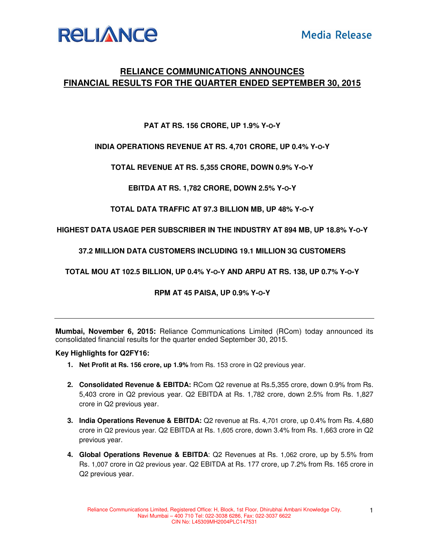

# **RELIANCE COMMUNICATIONS ANNOUNCES FINANCIAL RESULTS FOR THE QUARTER ENDED SEPTEMBER 30, 2015**

## **PAT AT RS. 156 CRORE, UP 1.9% Y-O-Y**

### **INDIA OPERATIONS REVENUE AT RS. 4,701 CRORE, UP 0.4% Y-O-Y**

**TOTAL REVENUE AT RS. 5,355 CRORE, DOWN 0.9% Y-O-Y** 

**EBITDA AT RS. 1,782 CRORE, DOWN 2.5% Y-O-Y** 

**TOTAL DATA TRAFFIC AT 97.3 BILLION MB, UP 48% Y-O-Y** 

**HIGHEST DATA USAGE PER SUBSCRIBER IN THE INDUSTRY AT 894 MB, UP 18.8% Y-O-Y** 

**37.2 MILLION DATA CUSTOMERS INCLUDING 19.1 MILLION 3G CUSTOMERS** 

**TOTAL MOU AT 102.5 BILLION, UP 0.4% Y-O-Y AND ARPU AT RS. 138, UP 0.7% Y-O-Y** 

**RPM AT 45 PAISA, UP 0.9% Y-O-Y**

**Mumbai, November 6, 2015:** Reliance Communications Limited (RCom) today announced its consolidated financial results for the quarter ended September 30, 2015.

#### **Key Highlights for Q2FY16:**

- **1. Net Profit at Rs. 156 crore, up 1.9%** from Rs. 153 crore in Q2 previous year.
- **2. Consolidated Revenue & EBITDA:** RCom Q2 revenue at Rs.5,355 crore, down 0.9% from Rs. 5,403 crore in Q2 previous year. Q2 EBITDA at Rs. 1,782 crore, down 2.5% from Rs. 1,827 crore in Q2 previous year.
- **3. India Operations Revenue & EBITDA:** Q2 revenue at Rs. 4,701 crore, up 0.4% from Rs. 4,680 crore in Q2 previous year. Q2 EBITDA at Rs. 1,605 crore, down 3.4% from Rs. 1,663 crore in Q2 previous year.
- **4. Global Operations Revenue & EBITDA**: Q2 Revenues at Rs. 1,062 crore, up by 5.5% from Rs. 1,007 crore in Q2 previous year. Q2 EBITDA at Rs. 177 crore, up 7.2% from Rs. 165 crore in Q2 previous year.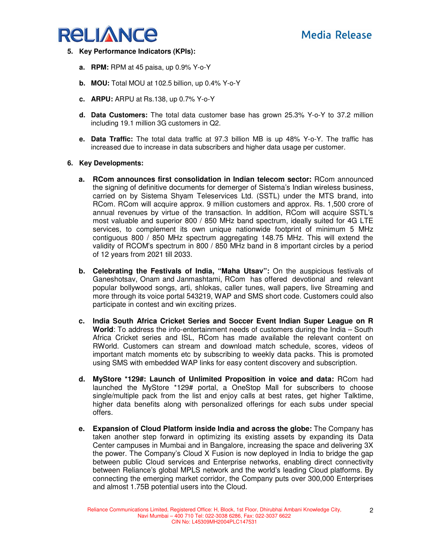

- **5. Key Performance Indicators (KPIs):** 
	- **a. RPM:** RPM at 45 paisa, up 0.9% Y-o-Y
	- **b. MOU:** Total MOU at 102.5 billion, up 0.4% Y-o-Y
	- **c. ARPU:** ARPU at Rs.138, up 0.7% Y-o-Y
	- **d. Data Customers:** The total data customer base has grown 25.3% Y-o-Y to 37.2 million including 19.1 million 3G customers in Q2.
	- **e. Data Traffic:** The total data traffic at 97.3 billion MB is up 48% Y-o-Y. The traffic has increased due to increase in data subscribers and higher data usage per customer.

#### **6. Key Developments:**

- **a. RCom announces first consolidation in Indian telecom sector:** RCom announced the signing of definitive documents for demerger of Sistema's Indian wireless business, carried on by Sistema Shyam Teleservices Ltd. (SSTL) under the MTS brand, into RCom. RCom will acquire approx. 9 million customers and approx. Rs. 1,500 crore of annual revenues by virtue of the transaction. In addition, RCom will acquire SSTL's most valuable and superior 800 / 850 MHz band spectrum, ideally suited for 4G LTE services, to complement its own unique nationwide footprint of minimum 5 MHz contiguous 800 / 850 MHz spectrum aggregating 148.75 MHz. This will extend the validity of RCOM's spectrum in 800 / 850 MHz band in 8 important circles by a period of 12 years from 2021 till 2033.
- **b. Celebrating the Festivals of India, "Maha Utsav":** On the auspicious festivals of Ganeshotsav, Onam and Janmashtami, RCom has offered devotional and relevant popular bollywood songs, arti, shlokas, caller tunes, wall papers, live Streaming and more through its voice portal 543219, WAP and SMS short code. Customers could also participate in contest and win exciting prizes.
- **c. India South Africa Cricket Series and Soccer Event Indian Super League on R World**: To address the info-entertainment needs of customers during the India – South Africa Cricket series and ISL, RCom has made available the relevant content on RWorld. Customers can stream and download match schedule, scores, videos of important match moments etc by subscribing to weekly data packs. This is promoted using SMS with embedded WAP links for easy content discovery and subscription.
- **d. MyStore \*129#: Launch of Unlimited Proposition in voice and data:** RCom had launched the MyStore \*129# portal, a OneStop Mall for subscribers to choose single/multiple pack from the list and enjoy calls at best rates, get higher Talktime, higher data benefits along with personalized offerings for each subs under special offers.
- **e. Expansion of Cloud Platform inside India and across the globe:** The Company has taken another step forward in optimizing its existing assets by expanding its Data Center campuses in Mumbai and in Bangalore, increasing the space and delivering 3X the power. The Company's Cloud X Fusion is now deployed in India to bridge the gap between public Cloud services and Enterprise networks, enabling direct connectivity between Reliance's global MPLS network and the world's leading Cloud platforms. By connecting the emerging market corridor, the Company puts over 300,000 Enterprises and almost 1.75B potential users into the Cloud.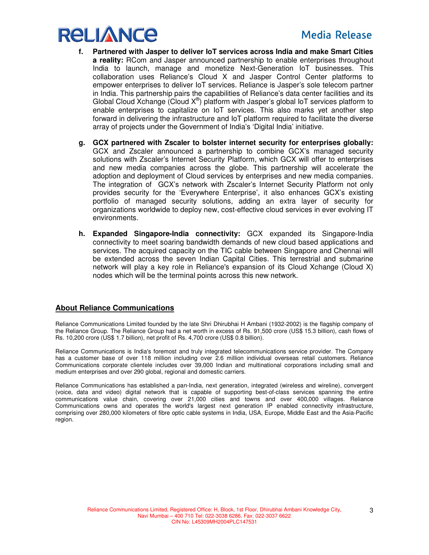

- **f. Partnered with Jasper to deliver IoT services across India and make Smart Cities a reality:** RCom and Jasper announced partnership to enable enterprises throughout India to launch, manage and monetize Next-Generation IoT businesses. This collaboration uses Reliance's Cloud X and Jasper Control Center platforms to empower enterprises to deliver IoT services. Reliance is Jasper's sole telecom partner in India. This partnership pairs the capabilities of Reliance's data center facilities and its Global Cloud Xchange (Cloud  $X^{\circledast}$ ) platform with Jasper's global IoT services platform to enable enterprises to capitalize on IoT services. This also marks yet another step forward in delivering the infrastructure and IoT platform required to facilitate the diverse array of projects under the Government of India's 'Digital India' initiative.
- **g. GCX partnered with Zscaler to bolster internet security for enterprises globally:** GCX and Zscaler announced a partnership to combine GCX's managed security solutions with Zscaler's Internet Security Platform, which GCX will offer to enterprises and new media companies across the globe. This partnership will accelerate the adoption and deployment of Cloud services by enterprises and new media companies. The integration of GCX's network with Zscaler's Internet Security Platform not only provides security for the 'Everywhere Enterprise', it also enhances GCX's existing portfolio of managed security solutions, adding an extra layer of security for organizations worldwide to deploy new, cost-effective cloud services in ever evolving IT environments.
- **h. Expanded Singapore-India connectivity:** GCX expanded its Singapore-India connectivity to meet soaring bandwidth demands of new cloud based applications and services. The acquired capacity on the TIC cable between Singapore and Chennai will be extended across the seven Indian Capital Cities. This terrestrial and submarine network will play a key role in Reliance's expansion of its Cloud Xchange (Cloud X) nodes which will be the terminal points across this new network.

### **About Reliance Communications**

Reliance Communications Limited founded by the late Shri Dhirubhai H Ambani (1932-2002) is the flagship company of the Reliance Group. The Reliance Group had a net worth in excess of Rs. 91,500 crore (US\$ 15.3 billion), cash flows of Rs. 10,200 crore (US\$ 1.7 billion), net profit of Rs. 4,700 crore (US\$ 0.8 billion).

Reliance Communications is India's foremost and truly integrated telecommunications service provider. The Company has a customer base of over 118 million including over 2.6 million individual overseas retail customers. Reliance Communications corporate clientele includes over 39,000 Indian and multinational corporations including small and medium enterprises and over 290 global, regional and domestic carriers.

Reliance Communications has established a pan-India, next generation, integrated (wireless and wireline), convergent (voice, data and video) digital network that is capable of supporting best-of-class services spanning the entire communications value chain, covering over 21,000 cities and towns and over 400,000 villages. Reliance Communications owns and operates the world's largest next generation IP enabled connectivity infrastructure, comprising over 280,000 kilometers of fibre optic cable systems in India, USA, Europe, Middle East and the Asia-Pacific region.